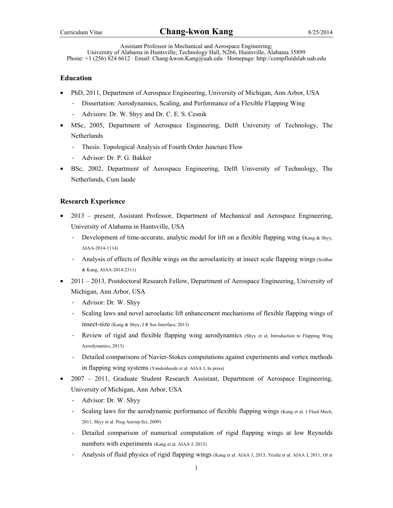Assistant Professor in Mechanical and Aerospace Engineering;

University of Alabama in Huntsville; Technology Hall, N266, Huntsville, Alabama 35899 Phone: +1 (256) 824 6612 · Email: Chang-kwon.Kang@uah.edu · Homepage: http://compfluidslab.uah.edu

# **Education**

- PhD, 2011, Department of Aerospace Engineering, University of Michigan, Ann Arbor, USA
	- Dissertation: Aerodynamics, Scaling, and Performance of a Flexible Flapping Wing
	- Advisors: Dr. W. Shyy and Dr. C. E. S. Cesnik
- MSc, 2005, Department of Aerospace Engineering, Delft University of Technology, The Netherlands
	- Thesis: Topological Analysis of Fourth Order Juncture Flow
	- Advisor: Dr. P. G. Bakker
- BSc, 2002, Department of Aerospace Engineering, Delft University of Technology, The Netherlands, Cum laude

## **Research Experience**

- 2013 present, Assistant Professor, Department of Mechanical and Aerospace Engineering, University of Alabama in Huntsville, USA
	- Development of time-accurate, analytic model for lift on a flexible flapping wing (Kang & Shyy, AIAA-2014-1114)
	- Analysis of effects of flexible wings on the aeroelasticity at insect scale flapping wings (Sridhar & Kang, AIAA-2014-2311)
- 2011 2013, Postdoctoral Research Fellow, Department of Aerospace Engineering, University of Michigan, Ann Arbor, USA
	- Advisor: Dr. W. Shyy
	- Scaling laws and novel aeroelastic lift enhancement mechanisms of flexible flapping wings of insect-size (Kang & Shyy, J R Soc Interface, 2013)
	- Review of rigid and flexible flapping wing aerodynamics (Shyy et al, Introduction to Flapping Wing Aerodynamics, 2013)
	- Detailed comparisons of Navier-Stokes computations against experiments and vortex methods in flapping wing systems (Vandenheede et al. AIAA J, In press)
- 2007 2011, Graduate Student Research Assistant, Department of Aerospace Engineering, University of Michigan, Ann Arbor, USA
	- Advisor: Dr. W. Shyy
	- Scaling laws for the aerodynamic performance of flexible flapping wings (Kang et al. J Fluid Mech, 2011, Shyy et al. Prog Aerosp Sci, 2009)
	- Detailed comparison of numerical computation of rigid flapping wings at low Reynolds numbers with experiments (Kang et al. AIAA J, 2013)
	- Analysis of fluid physics of rigid flapping wings (Kang et al. AIAA J, 2013; Trizila et al. AIAA J, 2011; Ol et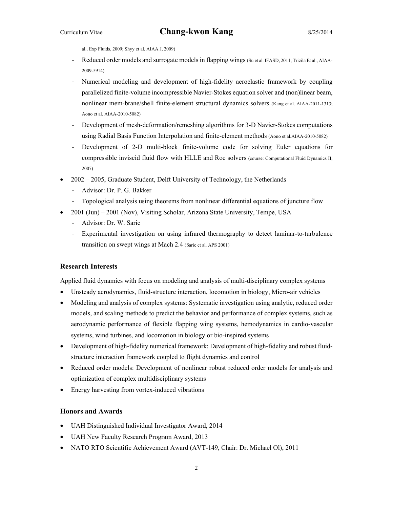al., Exp Fluids, 2009; Shyy et al. AIAA J, 2009)

- Reduced order models and surrogate models in flapping wings (Su et al. IFASD, 2011; Trizila Et al., AIAA-2009-5914)
- Numerical modeling and development of high-fidelity aeroelastic framework by coupling parallelized finite-volume incompressible Navier-Stokes equation solver and (non)linear beam, nonlinear mem-brane/shell finite-element structural dynamics solvers (Kang et al. AIAA-2011-1313; Aono et al. AIAA-2010-5082)
- Development of mesh-deformation/remeshing algorithms for 3-D Navier-Stokes computations using Radial Basis Function Interpolation and finite-element methods (Aono et al.AIAA-2010-5082)
- Development of 2-D multi-block finite-volume code for solving Euler equations for compressible inviscid fluid flow with HLLE and Roe solvers (course: Computational Fluid Dynamics II, 2007)
- 2002 2005, Graduate Student, Delft University of Technology, the Netherlands
	- Advisor: Dr. P. G. Bakker
	- Topological analysis using theorems from nonlinear differential equations of juncture flow
- 2001 (Jun) 2001 (Nov), Visiting Scholar, Arizona State University, Tempe, USA
	- Advisor: Dr. W. Saric
	- Experimental investigation on using infrared thermography to detect laminar-to-turbulence transition on swept wings at Mach 2.4 (Saric et al. APS 2001)

## **Research Interests**

Applied fluid dynamics with focus on modeling and analysis of multi-disciplinary complex systems

- Unsteady aerodynamics, fluid-structure interaction, locomotion in biology, Micro-air vehicles
- Modeling and analysis of complex systems: Systematic investigation using analytic, reduced order models, and scaling methods to predict the behavior and performance of complex systems, such as aerodynamic performance of flexible flapping wing systems, hemodynamics in cardio-vascular systems, wind turbines, and locomotion in biology or bio-inspired systems
- Development of high-fidelity numerical framework: Development of high-fidelity and robust fluidstructure interaction framework coupled to flight dynamics and control
- Reduced order models: Development of nonlinear robust reduced order models for analysis and optimization of complex multidisciplinary systems
- Energy harvesting from vortex-induced vibrations

## **Honors and Awards**

- UAH Distinguished Individual Investigator Award, 2014
- UAH New Faculty Research Program Award, 2013
- NATO RTO Scientific Achievement Award (AVT-149, Chair: Dr. Michael Ol), 2011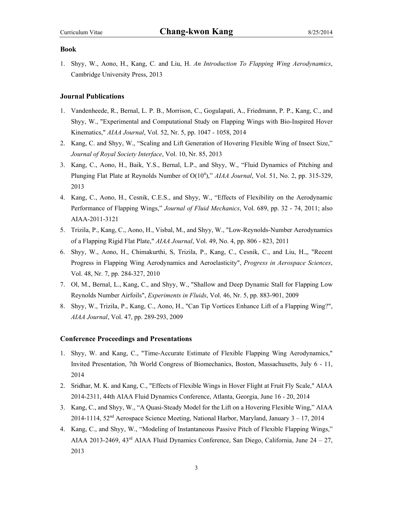## **Book**

1. Shyy, W., Aono, H., Kang, C. and Liu, H. *An Introduction To Flapping Wing Aerodynamics*, Cambridge University Press, 2013

### **Journal Publications**

- 1. Vandenheede, R., Bernal, L. P. B., Morrison, C., Gogulapati, A., Friedmann, P. P., Kang, C., and Shyy, W., "Experimental and Computational Study on Flapping Wings with Bio-Inspired Hover Kinematics," *AIAA Journal*, Vol. 52, Nr. 5, pp. 1047 - 1058, 2014
- 2. Kang, C. and Shyy, W., "Scaling and Lift Generation of Hovering Flexible Wing of Insect Size," *Journal of Royal Society Interface*, Vol. 10, Nr. 85, 2013
- 3. Kang, C., Aono, H., Baik, Y.S., Bernal, L.P., and Shyy, W., "Fluid Dynamics of Pitching and Plunging Flat Plate at Reynolds Number of O(10<sup>4</sup>)," AIAA Journal, Vol. 51, No. 2, pp. 315-329, 2013
- 4. Kang, C., Aono, H., Cesnik, C.E.S., and Shyy, W., "Effects of Flexibility on the Aerodynamic Performance of Flapping Wings," *Journal of Fluid Mechanics*, Vol. 689, pp. 32 - 74, 2011; also AIAA-2011-3121
- 5. Trizila, P., Kang, C., Aono, H., Visbal, M., and Shyy, W., "Low-Reynolds-Number Aerodynamics of a Flapping Rigid Flat Plate," *AIAA Journal*, Vol. 49, No. 4, pp. 806 - 823, 2011
- 6. Shyy, W., Aono, H., Chimakurthi, S, Trizila, P., Kang, C., Cesnik, C., and Liu, H.,, "Recent Progress in Flapping Wing Aerodynamics and Aeroelasticity", *Progress in Aerospace Sciences*, Vol. 48, Nr. 7, pp. 284-327, 2010
- 7. Ol, M., Bernal, L., Kang, C., and Shyy, W., "Shallow and Deep Dynamic Stall for Flapping Low Reynolds Number Airfoils", *Experiments in Fluids*, Vol. 46, Nr. 5, pp. 883-901, 2009
- 8. Shyy, W., Trizila, P., Kang, C., Aono, H., "Can Tip Vortices Enhance Lift of a Flapping Wing?", *AIAA Journal*, Vol. 47, pp. 289-293, 2009

## **Conference Proceedings and Presentations**

- 1. Shyy, W. and Kang, C., "Time-Accurate Estimate of Flexible Flapping Wing Aerodynamics," Invited Presentation, 7th World Congress of Biomechanics, Boston, Massachusetts, July 6 - 11, 2014
- 2. Sridhar, M. K. and Kang, C., "Effects of Flexible Wings in Hover Flight at Fruit Fly Scale," AIAA 2014-2311, 44th AIAA Fluid Dynamics Conference, Atlanta, Georgia, June 16 - 20, 2014
- 3. Kang, C., and Shyy, W., "A Quasi-Steady Model for the Lift on a Hovering Flexible Wing," AIAA 2014-1114,  $52<sup>nd</sup>$  Aerospace Science Meeting, National Harbor, Maryland, January  $3 - 17$ , 2014
- 4. Kang, C., and Shyy, W., "Modeling of Instantaneous Passive Pitch of Flexible Flapping Wings," AIAA 2013-2469, 43<sup>rd</sup> AIAA Fluid Dynamics Conference, San Diego, California, June 24 – 27, 2013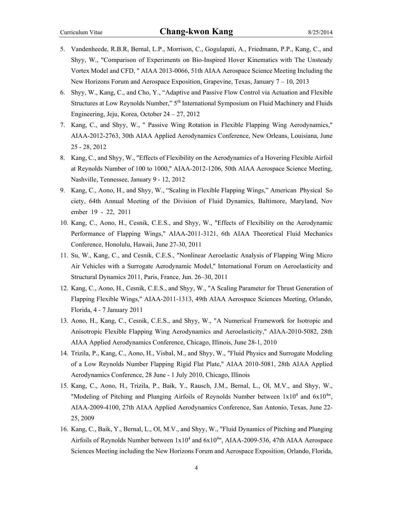- 5. Vandenheede, R.B.R, Bernal, L.P., Morrison, C., Gogulapati, A., Friedmann, P.P., Kang, C., and Shyy, W., "Comparison of Experiments on Bio-Inspired Hover Kinematics with The Unsteady Vortex Model and CFD, " AIAA 2013-0066, 51th AIAA Aerospace Science Meeting Including the New Horizons Forum and Aerospace Exposition, Grapevine, Texas, January 7 – 10, 2013
- 6. Shyy, W., Kang, C., and Cho, Y., "Adaptive and Passive Flow Control via Actuation and Flexible Structures at Low Reynolds Number," 5th International Symposium on Fluid Machinery and Fluids Engineering, Jeju, Korea, October 24 – 27, 2012
- 7. Kang, C., and Shyy, W., " Passive Wing Rotation in Flexible Flapping Wing Aerodynamics," AIAA-2012-2763, 30th AIAA Applied Aerodynamics Conference, New Orleans, Louisiana, June 25 - 28, 2012
- 8. Kang, C., and Shyy, W., "Effects of Flexibility on the Aerodynamics of a Hovering Flexible Airfoil at Reynolds Number of 100 to 1000," AIAA-2012-1206, 50th AIAA Aerospace Science Meeting, Nashville, Tennessee, January 9 - 12, 2012
- 9. Kang, C., Aono, H., and Shyy, W., "Scaling in Flexible Flapping Wings," American Physical So ciety, 64th Annual Meeting of the Division of Fluid Dynamics, Baltimore, Maryland, Nov ember 19 - 22, 2011
- 10. Kang, C., Aono, H., Cesnik, C.E.S., and Shyy, W., "Effects of Flexibility on the Aerodynamic Performance of Flapping Wings," AIAA-2011-3121, 6th AIAA Theoretical Fluid Mechanics Conference, Honolulu, Hawaii, June 27-30, 2011
- 11. Su, W., Kang, C., and Cesnik, C.E.S., "Nonlinear Aeroelastic Analysis of Flapping Wing Micro Air Vehicles with a Surrogate Aerodynamic Model," International Forum on Aeroelasticity and Structural Dynamics 2011, Paris, France, Jun. 26–30, 2011
- 12. Kang, C., Aono, H., Cesnik, C.E.S., and Shyy, W., "A Scaling Parameter for Thrust Generation of Flapping Flexible Wings," AIAA-2011-1313, 49th AIAA Aerospace Sciences Meeting, Orlando, Florida, 4 - 7 January 2011
- 13. Aono, H., Kang, C., Cesnik, C.E.S., and Shyy, W., "A Numerical Framework for Isotropic and Anisotropic Flexible Flapping Wing Aerodynamics and Aeroelasticity," AIAA-2010-5082, 28th AIAA Applied Aerodynamics Conference, Chicago, Illinois, June 28-1, 2010
- 14. Trizila, P., Kang, C., Aono, H., Visbal, M., and Shyy, W., "Fluid Physics and Surrogate Modeling of a Low Reynolds Number Flapping Rigid Flat Plate," AIAA 2010-5081, 28th AIAA Applied Aerodynamics Conference, 28 June - 1 July 2010, Chicago, Illinois
- 15. Kang, C., Aono, H., Trizila, P., Baik, Y., Rausch, J.M., Bernal, L., Ol, M.V., and Shyy, W., "Modeling of Pitching and Plunging Airfoils of Reynolds Number between  $1x10^4$  and  $6x10^{4}$ ", AIAA-2009-4100, 27th AIAA Applied Aerodynamics Conference, San Antonio, Texas, June 22- 25, 2009
- 16. Kang, C., Baik, Y., Bernal, L., Ol, M.V., and Shyy, W., "Fluid Dynamics of Pitching and Plunging Airfoils of Reynolds Number between  $1x10^4$  and  $6x10^{4}$ ", AIAA-2009-536, 47th AIAA Aerospace Sciences Meeting including the New Horizons Forum and Aerospace Exposition, Orlando, Florida,